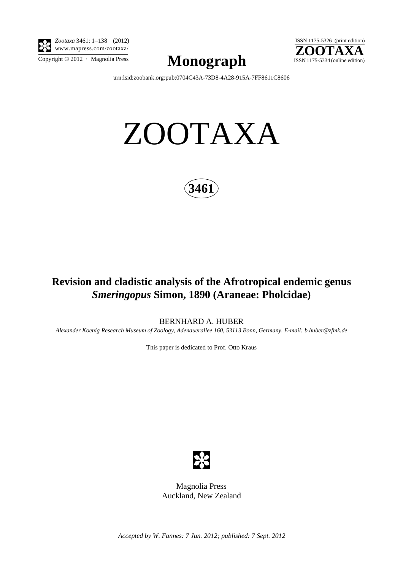

*Zootaxa* 3461: 1–138 (2012) www.mapress.com/zootaxa/

 $\sum_{\text{Copyright © 2012 . Magnolia Press}}$  **Monograph**  $\sum_{\text{ISSN 1175-5334 (online edition)}}$ 



[urn:lsid:zoobank.org:pub:0704C43A-73D8-4A28-915A-7FF8611C8606](http://zoobank.org/urn:lsid:zoobank.org:pub:0704C43A-73D8-4A28-915A-7FF8611C8606)

# ZOOTAXA



## **Revision and cladistic analysis of the Afrotropical endemic genus**  *Smeringopus* **Simon, 1890 (Araneae: Pholcidae)**

BERNHARD A. HUBER

*Alexander Koenig Research Museum of Zoology, Adenauerallee 160, 53113 Bonn, Germany. E-mail: [b.huber@zfmk.de](mailto:b.huber@zfmk.)*

This paper is dedicated to Prof. Otto Kraus



Magnolia Press Auckland, New Zealand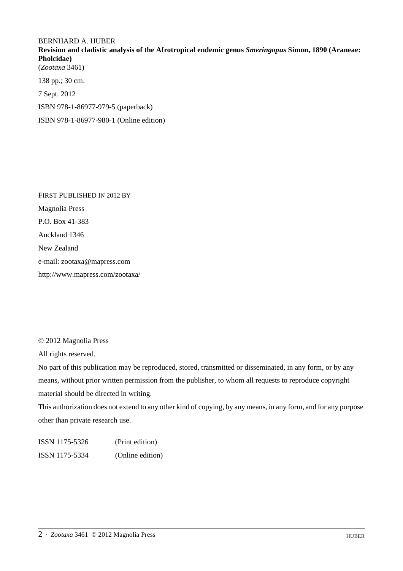### BERNHARD A. HUBER **Revision and cladistic analysis of the Afrotropical endemic genus** *Smeringopus* **Simon, 1890 (Araneae: Pholcidae)** (*Zootaxa* 3461) 138 pp.; 30 cm. 7 Sept. 2012

ISBN 978-1-86977-979-5 (paperback)

ISBN 978-1-86977-980-1 (Online edition)

FIRST PUBLISHED IN 2012 BY Magnolia Press P.O. Box 41-383 Auckland 1346 New Zealand e-mail: zootaxa@mapress.com http://www.mapress.com/zootaxa/

© 2012 Magnolia Press

All rights reserved.

No part of this publication may be reproduced, stored, transmitted or disseminated, in any form, or by any means, without prior written permission from the publisher, to whom all requests to reproduce copyright material should be directed in writing.

This authorization does not extend to any other kind of copying, by any means, in any form, and for any purpose other than private research use.

ISSN 1175-5326 (Print edition) ISSN 1175-5334 (Online edition)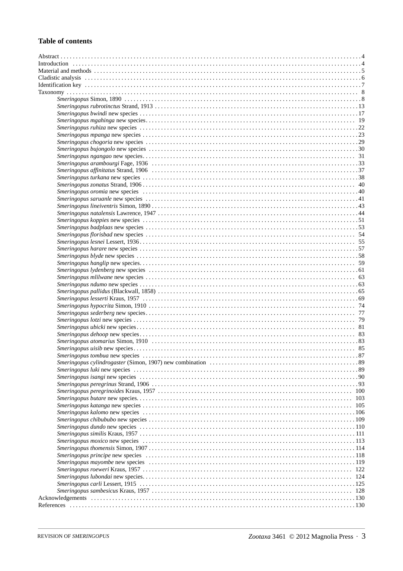#### **Table of contents**

| 100 |
|-----|
| 103 |
| 105 |
|     |
|     |
|     |
|     |
|     |
|     |
|     |
|     |
|     |
|     |
|     |
|     |
|     |
|     |